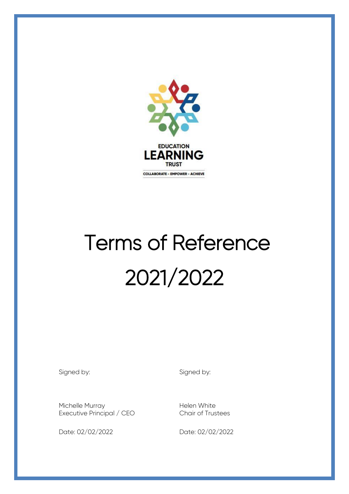

# Terms of Reference 2021/2022

Signed by: Signed by:

Michelle Murray Executive Principal / CEO

Helen White Chair of Trustees Date: 02/02/2022 Date: 02/02/2022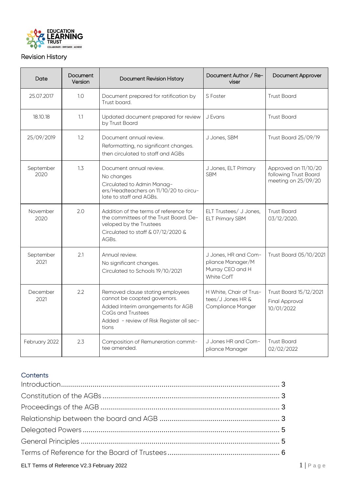

# Revision History

| Date              | Document<br>Version | <b>Document Revision History</b>                                                                                                                                                 | Document Author / Re-<br>viser                                                     | <b>Document Approver</b>                                             |
|-------------------|---------------------|----------------------------------------------------------------------------------------------------------------------------------------------------------------------------------|------------------------------------------------------------------------------------|----------------------------------------------------------------------|
| 25.07.2017        | 1.0                 | Document prepared for ratification by<br>Trust board.                                                                                                                            | S Foster                                                                           | <b>Trust Board</b>                                                   |
| 18.10.18          | 1.1                 | Updated document prepared for review<br>by Trust Board                                                                                                                           | J Evans                                                                            | <b>Trust Board</b>                                                   |
| 25/09/2019        | 1.2                 | Document annual review.<br>Reformatting, no significant changes.<br>then circulated to staff and AGBs                                                                            | J Jones, SBM                                                                       | <b>Trust Board 25/09/19</b>                                          |
| September<br>2020 | 1.3                 | Document annual review.<br>No changes<br>Circulated to Admin Manag-<br>ers/Headteachers on 11/10/20 to circu-<br>late to staff and AGBs.                                         | J Jones, ELT Primary<br><b>SBM</b>                                                 | Approved on 11/10/20<br>following Trust Board<br>meeting on 25/09/20 |
| November<br>2020  | 2.0                 | Addition of the terms of reference for<br>the committees of the Trust Board. De-<br>veloped by the Trustees<br>Circulated to staff & 07/12/2020 &<br>AGBs.                       | ELT Trustees/ J Jones,<br><b>ELT Primary SBM</b>                                   | <b>Trust Board</b><br>03/12/2020.                                    |
| September<br>2021 | 2.1                 | Annual review.<br>No significant changes.<br>Circulated to Schools 19/10/2021                                                                                                    | J Jones, HR and Com-<br>pliance Manager/M<br>Murray CEO and H<br><b>White CofT</b> | Trust Board 05/10/2021                                               |
| December<br>2021  | 2.2                 | Removed clause stating employees<br>cannot be coopted governors.<br>Added Interim arrangements for AGB<br>CoGs and Trustees<br>Added - review of Risk Register all sec-<br>tions | H White, Chair of Trus-<br>tees/J Jones HR &<br>Compliance Manger                  | Trust Board 15/12/2021<br>Final Approval<br>10/01/2022               |
| February 2022     | 2.3                 | Composition of Remuneration commit-<br>tee amended.                                                                                                                              | J Jones HR and Com-<br>pliance Manager                                             | <b>Trust Board</b><br>02/02/2022                                     |

# **Contents**

| ELT Terms of Reference V2.3 February 2022 | $1$  Paqe |
|-------------------------------------------|-----------|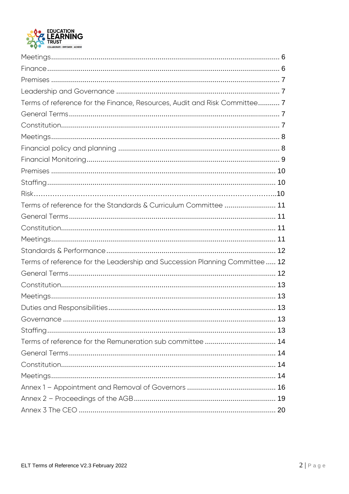

| Terms of reference for the Finance, Resources, Audit and Risk Committee 7  |  |
|----------------------------------------------------------------------------|--|
|                                                                            |  |
|                                                                            |  |
|                                                                            |  |
|                                                                            |  |
|                                                                            |  |
|                                                                            |  |
|                                                                            |  |
|                                                                            |  |
| Terms of reference for the Standards & Curriculum Committee  11            |  |
|                                                                            |  |
|                                                                            |  |
|                                                                            |  |
|                                                                            |  |
| Terms of reference for the Leadership and Succession Planning Committee 12 |  |
|                                                                            |  |
|                                                                            |  |
|                                                                            |  |
|                                                                            |  |
|                                                                            |  |
|                                                                            |  |
|                                                                            |  |
|                                                                            |  |
|                                                                            |  |
|                                                                            |  |
|                                                                            |  |
|                                                                            |  |
|                                                                            |  |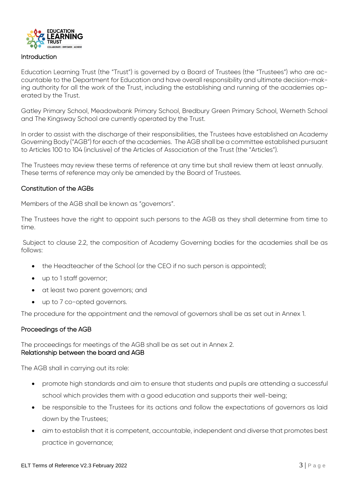

#### Introduction

Education Learning Trust (the "Trust") is governed by a Board of Trustees (the "Trustees") who are accountable to the Department for Education and have overall responsibility and ultimate decision-making authority for all the work of the Trust, including the establishing and running of the academies operated by the Trust.

Gatley Primary School, Meadowbank Primary School, Bredbury Green Primary School, Werneth School and The Kingsway School are currently operated by the Trust.

In order to assist with the discharge of their responsibilities, the Trustees have established an Academy Governing Body ("AGB") for each of the academies. The AGB shall be a committee established pursuant to Articles 100 to 104 (inclusive) of the Articles of Association of the Trust (the "Articles").

The Trustees may review these terms of reference at any time but shall review them at least annually. These terms of reference may only be amended by the Board of Trustees.

### Constitution of the AGBs

Members of the AGB shall be known as "governors".

The Trustees have the right to appoint such persons to the AGB as they shall determine from time to time.

Subject to clause 2.2, the composition of Academy Governing bodies for the academies shall be as follows:

- the Headteacher of the School (or the CEO if no such person is appointed);
- up to 1 staff governor;
- at least two parent governors; and
- up to 7 co-opted governors.

The procedure for the appointment and the removal of governors shall be as set out in Annex 1.

### Proceedings of the AGB

The proceedings for meetings of the AGB shall be as set out in Annex 2. Relationship between the board and AGB

The AGB shall in carrying out its role:

- promote high standards and aim to ensure that students and pupils are attending a successful school which provides them with a good education and supports their well-being;
- be responsible to the Trustees for its actions and follow the expectations of governors as laid down by the Trustees;
- aim to establish that it is competent, accountable, independent and diverse that promotes best practice in governance;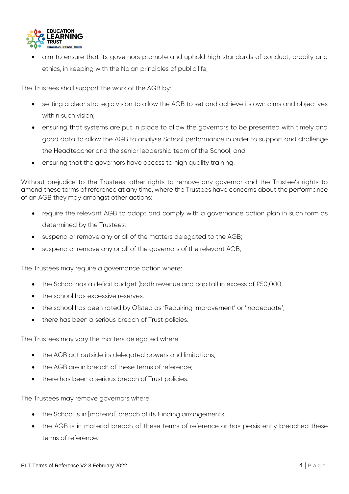

 aim to ensure that its governors promote and uphold high standards of conduct, probity and ethics, in keeping with the Nolan principles of public life;

The Trustees shall support the work of the AGB by:

- setting a clear strategic vision to allow the AGB to set and achieve its own aims and objectives within such vision;
- ensuring that systems are put in place to allow the governors to be presented with timely and good data to allow the AGB to analyse School performance in order to support and challenge the Headteacher and the senior leadership team of the School; and
- ensuring that the governors have access to high quality training.

Without prejudice to the Trustees, other rights to remove any governor and the Trustee's rights to amend these terms of reference at any time, where the Trustees have concerns about the performance of an AGB they may amongst other actions:

- require the relevant AGB to adopt and comply with a governance action plan in such form as determined by the Trustees;
- suspend or remove any or all of the matters delegated to the AGB;
- suspend or remove any or all of the governors of the relevant AGB;

The Trustees may require a governance action where:

- the School has a deficit budget (both revenue and capital) in excess of £50,000;
- the school has excessive reserves.
- the school has been rated by Ofsted as 'Requiring Improvement' or 'Inadequate';
- there has been a serious breach of Trust policies.

The Trustees may vary the matters delegated where:

- the AGB act outside its delegated powers and limitations;
- the AGB are in breach of these terms of reference;
- there has been a serious breach of Trust policies.

The Trustees may remove governors where:

- the School is in [material] breach of its funding arrangements;
- the AGB is in material breach of these terms of reference or has persistently breached these terms of reference.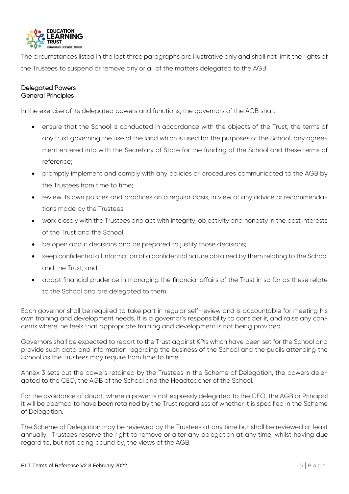

The circumstances listed in the last three paragraphs are illustrative only and shall not limit the rights of the Trustees to suspend or remove any or all of the matters delegated to the AGB.

# Delegated Powers General Principles

In the exercise of its delegated powers and functions, the governors of the AGB shall:

- ensure that the School is conducted in accordance with the objects of the Trust, the terms of any trust governing the use of the land which is used for the purposes of the School, any agreement entered into with the Secretary of State for the funding of the School and these terms of reference;
- promptly implement and comply with any policies or procedures communicated to the AGB by the Trustees from time to time;
- review its own policies and practices on a regular basis, in view of any advice or recommendations made by the Trustees;
- work closely with the Trustees and act with integrity, objectivity and honesty in the best interests of the Trust and the School;
- be open about decisions and be prepared to justify those decisions;
- keep confidential all information of a confidential nature obtained by them relating to the School and the Trust; and
- adopt financial prudence in managing the financial affairs of the Trust in so far as these relate to the School and are delegated to them.

Each governor shall be required to take part in regular self-review and is accountable for meeting his own training and development needs. It is a governor's responsibility to consider if, and raise any concerns where, he feels that appropriate training and development is not being provided.

Governors shall be expected to report to the Trust against KPIs which have been set for the School and provide such data and information regarding the business of the School and the pupils attending the School as the Trustees may require from time to time.

Annex 3 sets out the powers retained by the Trustees in the Scheme of Delegation, the powers delegated to the CEO, the AGB of the School and the Headteacher of the School.

For the avoidance of doubt, where a power is not expressly delegated to the CEO, the AGB or Principal it will be deemed to have been retained by the Trust regardless of whether it is specified in the Scheme of Delegation.

The Scheme of Delegation may be reviewed by the Trustees at any time but shall be reviewed at least annually. Trustees reserve the right to remove or alter any delegation at any time, whilst having due regard to, but not being bound by, the views of the AGB.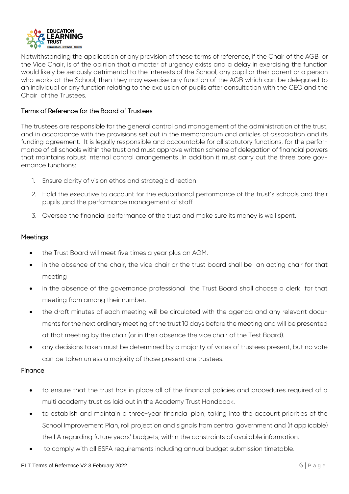

Notwithstanding the application of any provision of these terms of reference, if the Chair of the AGB or the Vice Chair, is of the opinion that a matter of urgency exists and a delay in exercising the function would likely be seriously detrimental to the interests of the School, any pupil or their parent or a person who works at the School, then they may exercise any function of the AGB which can be delegated to an individual or any function relating to the exclusion of pupils after consultation with the CEO and the Chair of the Trustees.

## Terms of Reference for the Board of Trustees

The trustees are responsible for the general control and management of the administration of the trust, and in accordance with the provisions set out in the memorandum and articles of association and its funding agreement. It is legally responsible and accountable for all statutory functions, for the performance of all schools within the trust and must approve written scheme of delegation of financial powers that maintains robust internal control arrangements .In addition it must carry out the three core governance functions:

- 1. Ensure clarity of vision ethos and strategic direction
- 2. Hold the executive to account for the educational performance of the trust's schools and their pupils ,and the performance management of staff
- 3. Oversee the financial performance of the trust and make sure its money is well spent.

## Meetings

- the Trust Board will meet five times a year plus an AGM.
- in the absence of the chair, the vice chair or the trust board shall be an acting chair for that meeting
- in the absence of the governance professional the Trust Board shall choose a clerk for that meeting from among their number.
- the draft minutes of each meeting will be circulated with the agenda and any relevant documents for the next ordinary meeting of the trust 10 days before the meeting and will be presented at that meeting by the chair (or in their absence the vice chair of the Test Board).
- any decisions taken must be determined by a majority of votes of trustees present, but no vote can be taken unless a majority of those present are trustees.

### **Finance**

- to ensure that the trust has in place all of the financial policies and procedures required of a multi academy trust as laid out in the Academy Trust Handbook.
- to establish and maintain a three-year financial plan, taking into the account priorities of the School Improvement Plan, roll projection and signals from central government and (if applicable) the LA regarding future years' budgets, within the constraints of available information.
- to comply with all ESFA requirements including annual budget submission timetable.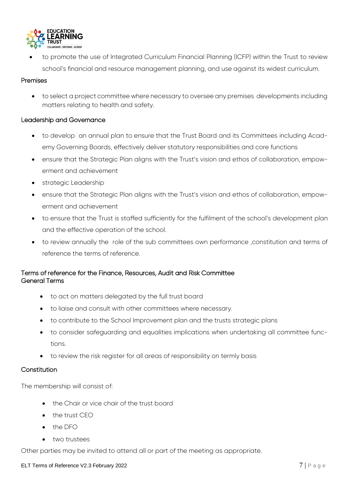

 to promote the use of Integrated Curriculum Financial Planning (ICFP) within the Trust to review school's financial and resource management planning, and use against its widest curriculum.

## Premises

 to select a project committee where necessary to oversee any premises developments including matters relating to health and safety.

## Leadership and Governance

- to develop an annual plan to ensure that the Trust Board and its Committees including Academy Governing Boards, effectively deliver statutory responsibilities and core functions
- ensure that the Strategic Plan aligns with the Trust's vision and ethos of collaboration, empowerment and achievement
- strategic Leadership
- ensure that the Strategic Plan aligns with the Trust's vision and ethos of collaboration, empowerment and achievement
- to ensure that the Trust is staffed sufficiently for the fulfilment of the school's development plan and the effective operation of the school.
- to review annually the role of the sub committees own performance ,constitution and terms of reference the terms of reference.

# Terms of reference for the Finance, Resources, Audit and Risk Committee General Terms

- to act on matters delegated by the full trust board
- to liaise and consult with other committees where necessary.
- to contribute to the School Improvement plan and the trusts strategic plans
- to consider safeguarding and equalities implications when undertaking all committee functions.
- to review the risk register for all areas of responsibility on termly basis

# Constitution

The membership will consist of:

- the Chair or vice chair of the trust board
- $\bullet$  the trust CEO
- $\bullet$  the DFO
- two trustees

Other parties may be invited to attend all or part of the meeting as appropriate.

#### ELT Terms of Reference V2.3 February 2022 **7** | P a g e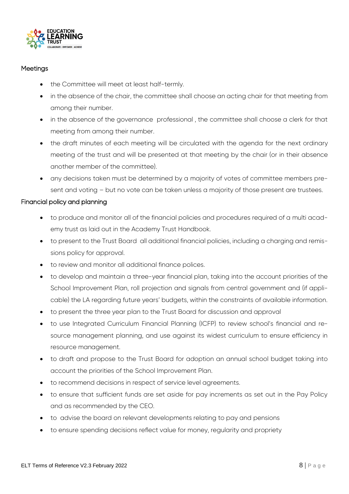

# **Meetings**

- the Committee will meet at least half-termly.
- in the absence of the chair, the committee shall choose an acting chair for that meeting from among their number.
- in the absence of the governance professional , the committee shall choose a clerk for that meeting from among their number.
- the draft minutes of each meeting will be circulated with the agenda for the next ordinary meeting of the trust and will be presented at that meeting by the chair (or in their absence another member of the committee).
- any decisions taken must be determined by a majority of votes of committee members present and voting – but no vote can be taken unless a majority of those present are trustees.

# Financial policy and planning

- to produce and monitor all of the financial policies and procedures required of a multi academy trust as laid out in the Academy Trust Handbook.
- to present to the Trust Board all additional financial policies, including a charging and remissions policy for approval.
- to review and monitor all additional finance polices.
- to develop and maintain a three-year financial plan, taking into the account priorities of the School Improvement Plan, roll projection and signals from central government and (if applicable) the LA regarding future years' budgets, within the constraints of available information.
- to present the three year plan to the Trust Board for discussion and approval
- to use Integrated Curriculum Financial Planning (ICFP) to review school's financial and resource management planning, and use against its widest curriculum to ensure efficiency in resource management.
- to draft and propose to the Trust Board for adoption an annual school budget taking into account the priorities of the School Improvement Plan.
- to recommend decisions in respect of service level agreements.
- to ensure that sufficient funds are set aside for pay increments as set out in the Pay Policy and as recommended by the CEO.
- to advise the board on relevant developments relating to pay and pensions
- to ensure spending decisions reflect value for money, regularity and propriety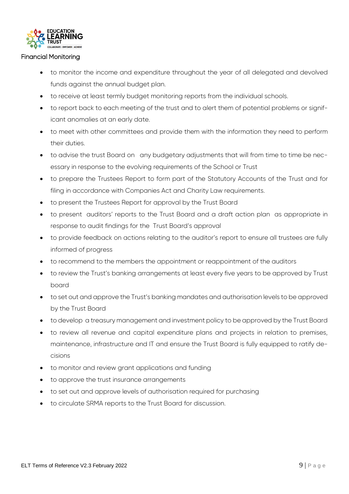

#### Financial Monitoring

- to monitor the income and expenditure throughout the year of all delegated and devolved funds against the annual budget plan.
- to receive at least termly budget monitoring reports from the individual schools.
- to report back to each meeting of the trust and to alert them of potential problems or significant anomalies at an early date.
- to meet with other committees and provide them with the information they need to perform their duties.
- to advise the trust Board on any budgetary adjustments that will from time to time be necessary in response to the evolving requirements of the School or Trust
- to prepare the Trustees Report to form part of the Statutory Accounts of the Trust and for filing in accordance with Companies Act and Charity Law requirements.
- to present the Trustees Report for approval by the Trust Board
- to present auditors' reports to the Trust Board and a draft action plan as appropriate in response to audit findings for the Trust Board's approval
- to provide feedback on actions relating to the auditor's report to ensure all trustees are fully informed of progress
- to recommend to the members the appointment or reappointment of the auditors
- to review the Trust's banking arrangements at least every five years to be approved by Trust board
- to set out and approve the Trust's banking mandates and authorisation levels to be approved by the Trust Board
- to develop a treasury management and investment policy to be approved by the Trust Board
- to review all revenue and capital expenditure plans and projects in relation to premises, maintenance, infrastructure and IT and ensure the Trust Board is fully equipped to ratify decisions
- to monitor and review grant applications and funding
- to approve the trust insurance arrangements
- to set out and approve levels of authorisation required for purchasing
- to circulate SRMA reports to the Trust Board for discussion.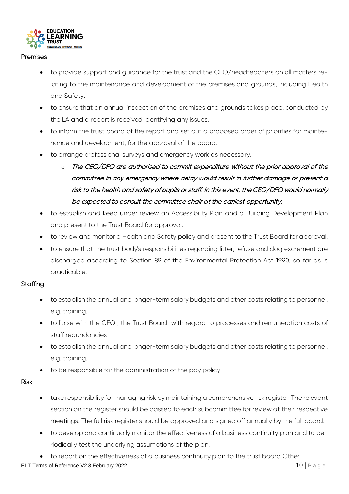

## Premises

- to provide support and guidance for the trust and the CEO/headteachers on all matters relating to the maintenance and development of the premises and grounds, including Health and Safety.
- to ensure that an annual inspection of the premises and grounds takes place, conducted by the LA and a report is received identifying any issues.
- to inform the trust board of the report and set out a proposed order of priorities for maintenance and development, for the approval of the board.
- to arrange professional surveys and emergency work as necessary.
	- $\circ$  The CEO/DFO are authorised to commit expenditure without the prior approval of the committee in any emergency where delay would result in further damage or present a risk to the health and safety of pupils or staff. In this event, the CEO/DFO would normally be expected to consult the committee chair at the earliest opportunity.
- to establish and keep under review an Accessibility Plan and a Building Development Plan and present to the Trust Board for approval.
- to review and monitor a Health and Safety policy and present to the Trust Board for approval.
- to ensure that the trust body's responsibilities regarding litter, refuse and dog excrement are discharged according to Section 89 of the Environmental Protection Act 1990, so far as is practicable.

# **Staffing**

- to establish the annual and longer-term salary budgets and other costs relating to personnel, e.g. training.
- to liaise with the CEO , the Trust Board with regard to processes and remuneration costs of staff redundancies
- to establish the annual and longer-term salary budgets and other costs relating to personnel, e.g. training.
- to be responsible for the administration of the pay policy

# Risk

- take responsibility for managing risk by maintaining a comprehensive risk register. The relevant section on the register should be passed to each subcommittee for review at their respective meetings. The full risk register should be approved and signed off annually by the full board.
- to develop and continually monitor the effectiveness of a business continuity plan and to periodically test the underlying assumptions of the plan.
- to report on the effectiveness of a business continuity plan to the trust board Other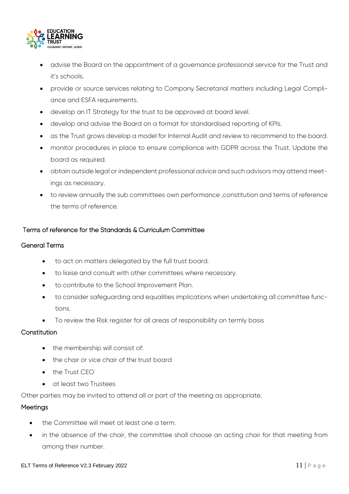

- advise the Board on the appointment of a governance professional service for the Trust and it's schools.
- provide or source services relating to Company Secretarial matters including Legal Compliance and ESFA requirements.
- develop an IT Strategy for the trust to be approved at board level.
- develop and advise the Board on a format for standardised reporting of KPIs.
- as the Trust grows develop a model for Internal Audit and review to recommend to the board.
- monitor procedures in place to ensure compliance with GDPR across the Trust. Update the board as required.
- obtain outside legal or independent professional advice and such advisors may attend meetings as necessary.
- to review annually the sub committees own performance ,constitution and terms of reference the terms of reference.

# Terms of reference for the Standards & Curriculum Committee

## General Terms

- to act on matters delegated by the full trust board.
- to liaise and consult with other committees where necessary.
- to contribute to the School Improvement Plan.
- to consider safeguarding and equalities implications when undertaking all committee functions.
- To review the Risk register for all areas of responsibility on termly basis

## Constitution

- the membership will consist of:
- the chair or vice chair of the trust board
- the Trust CEO
- at least two Trustees

Other parties may be invited to attend all or part of the meeting as appropriate.

### **Meetings**

- the Committee will meet at least one a term.
- in the absence of the chair, the committee shall choose an acting chair for that meeting from among their number.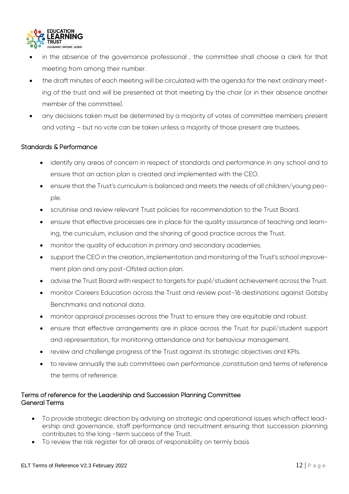

- in the absence of the governance professional , the committee shall choose a clerk for that meeting from among their number.
- the draft minutes of each meeting will be circulated with the agenda for the next ordinary meeting of the trust and will be presented at that meeting by the chair (or in their absence another member of the committee).
- any decisions taken must be determined by a majority of votes of committee members present and voting – but no vote can be taken unless a majority of those present are trustees.

# Standards & Performance

- identify any areas of concern in respect of standards and performance in any school and to ensure that an action plan is created and implemented with the CEO.
- ensure that the Trust's curriculum is balanced and meets the needs of all children/young people.
- scrutinise and review relevant Trust policies for recommendation to the Trust Board.
- ensure that effective processes are in place for the quality assurance of teaching and learning, the curriculum, inclusion and the sharing of good practice across the Trust.
- monitor the quality of education in primary and secondary academies.
- support the CEO in the creation, implementation and monitoring of the Trust's school improvement plan and any post-Ofsted action plan.
- advise the Trust Board with respect to targets for pupil/student achievement across the Trust.
- monitor Careers Education across the Trust and review post-16 destinations against Gatsby Benchmarks and national data.
- monitor appraisal processes across the Trust to ensure they are equitable and robust.
- ensure that effective arrangements are in place across the Trust for pupil/student support and representation, for monitoring attendance and for behaviour management.
- review and challenge progress of the Trust against its strategic objectives and KPIs.
- to review annually the sub committees own performance ,constitution and terms of reference the terms of reference.

## Terms of reference for the Leadership and Succession Planning Committee General Terms

- To provide strategic direction by advising on strategic and operational issues which affect leadership and governance, staff performance and recruitment ensuring that succession planning contributes to the long -term success of the Trust.
- To review the risk register for all areas of responsibility on termly basis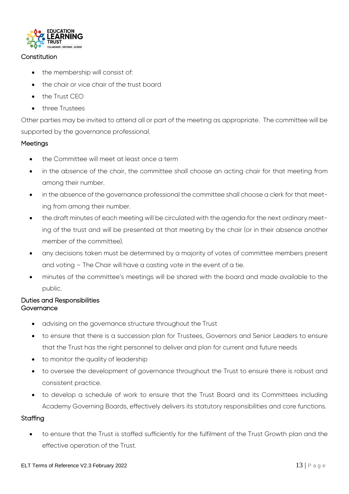

# **Constitution**

- the membership will consist of:
- the chair or vice chair of the trust board
- $\bullet$  the Trust CEO
- **•** three Trustees

Other parties may be invited to attend all or part of the meeting as appropriate. The committee will be supported by the governance professional.

# **Meetings**

- the Committee will meet at least once a term
- in the absence of the chair, the committee shall choose an acting chair for that meeting from among their number.
- in the absence of the governance professional the committee shall choose a clerk for that meeting from among their number.
- the draft minutes of each meeting will be circulated with the agenda for the next ordinary meeting of the trust and will be presented at that meeting by the chair (or in their absence another member of the committee).
- any decisions taken must be determined by a majority of votes of committee members present and voting – The Chair will have a casting vote in the event of a tie.
- minutes of the committee's meetings will be shared with the board and made available to the public.

# Duties and Responsibilities **Governance**

- advising on the governance structure throughout the Trust
- to ensure that there is a succession plan for Trustees, Governors and Senior Leaders to ensure that the Trust has the right personnel to deliver and plan for current and future needs
- to monitor the quality of leadership
- to oversee the development of governance throughout the Trust to ensure there is robust and consistent practice.
- to develop a schedule of work to ensure that the Trust Board and its Committees including Academy Governing Boards, effectively delivers its statutory responsibilities and core functions.

# **Staffing**

 to ensure that the Trust is staffed sufficiently for the fulfilment of the Trust Growth plan and the effective operation of the Trust.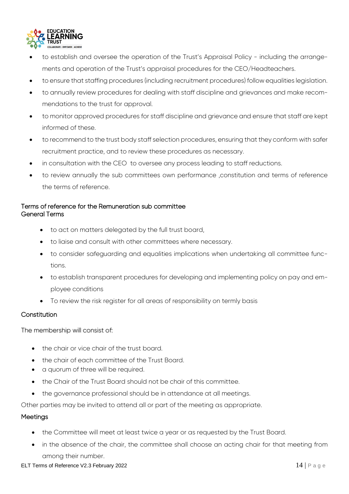

- to establish and oversee the operation of the Trust's Appraisal Policy including the arrangements and operation of the Trust's appraisal procedures for the CEO/Headteachers.
- to ensure that staffing procedures (including recruitment procedures) follow equalities legislation.
- to annually review procedures for dealing with staff discipline and grievances and make recommendations to the trust for approval.
- to monitor approved procedures for staff discipline and grievance and ensure that staff are kept informed of these.
- to recommend to the trust body staff selection procedures, ensuring that they conform with safer recruitment practice, and to review these procedures as necessary.
- in consultation with the CEO to oversee any process leading to staff reductions.
- to review annually the sub committees own performance ,constitution and terms of reference the terms of reference.

# Terms of reference for the Remuneration sub committee General Terms

- to act on matters delegated by the full trust board,
- to liaise and consult with other committees where necessary.
- to consider safeguarding and equalities implications when undertaking all committee functions.
- to establish transparent procedures for developing and implementing policy on pay and employee conditions
- To review the risk register for all areas of responsibility on termly basis

# **Constitution**

The membership will consist of:

- the chair or vice chair of the trust board.
- the chair of each committee of the Trust Board.
- a quorum of three will be required.
- the Chair of the Trust Board should not be chair of this committee.
- the governance professional should be in attendance at all meetings.

Other parties may be invited to attend all or part of the meeting as appropriate.

### **Meetings**

- the Committee will meet at least twice a year or as requested by the Trust Board.
- in the absence of the chair, the committee shall choose an acting chair for that meeting from among their number.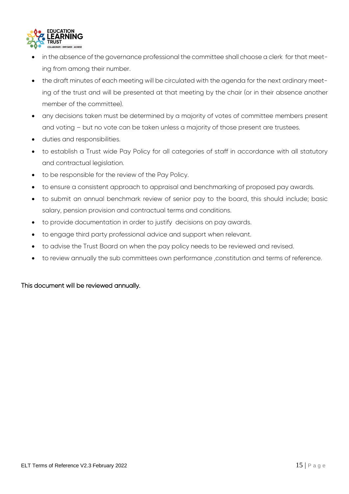

- in the absence of the governance professional the committee shall choose a clerk for that meeting from among their number.
- the draft minutes of each meeting will be circulated with the agenda for the next ordinary meeting of the trust and will be presented at that meeting by the chair (or in their absence another member of the committee).
- any decisions taken must be determined by a majority of votes of committee members present and voting – but no vote can be taken unless a majority of those present are trustees.
- duties and responsibilities.
- to establish a Trust wide Pay Policy for all categories of staff in accordance with all statutory and contractual legislation.
- to be responsible for the review of the Pay Policy.
- to ensure a consistent approach to appraisal and benchmarking of proposed pay awards.
- to submit an annual benchmark review of senior pay to the board, this should include; basic salary, pension provision and contractual terms and conditions.
- to provide documentation in order to justify decisions on pay awards.
- to engage third party professional advice and support when relevant.
- to advise the Trust Board on when the pay policy needs to be reviewed and revised.
- to review annually the sub committees own performance ,constitution and terms of reference.

# This document will be reviewed annually.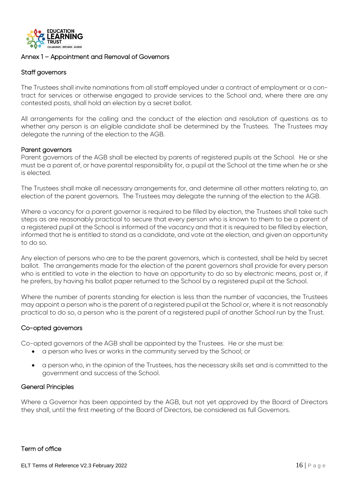

## Annex 1 – Appointment and Removal of Governors

## Staff governors

The Trustees shall invite nominations from all staff employed under a contract of employment or a contract for services or otherwise engaged to provide services to the School and, where there are any contested posts, shall hold an election by a secret ballot.

All arrangements for the calling and the conduct of the election and resolution of questions as to whether any person is an eligible candidate shall be determined by the Trustees. The Trustees may delegate the running of the election to the AGB.

#### Parent governors

Parent governors of the AGB shall be elected by parents of registered pupils at the School. He or she must be a parent of, or have parental responsibility for, a pupil at the School at the time when he or she is elected.

The Trustees shall make all necessary arrangements for, and determine all other matters relating to, an election of the parent governors. The Trustees may delegate the running of the election to the AGB.

Where a vacancy for a parent governor is required to be filled by election, the Trustees shall take such steps as are reasonably practical to secure that every person who is known to them to be a parent of a registered pupil at the School is informed of the vacancy and that it is required to be filled by election, informed that he is entitled to stand as a candidate, and vote at the election, and given an opportunity to do so.

Any election of persons who are to be the parent governors, which is contested, shall be held by secret ballot. The arrangements made for the election of the parent governors shall provide for every person who is entitled to vote in the election to have an opportunity to do so by electronic means, post or, if he prefers, by having his ballot paper returned to the School by a registered pupil at the School.

Where the number of parents standing for election is less than the number of vacancies, the Trustees may appoint a person who is the parent of a registered pupil at the School or, where it is not reasonably practical to do so, a person who is the parent of a registered pupil of another School run by the Trust.

### Co-opted governors

Co-opted governors of the AGB shall be appointed by the Trustees. He or she must be:

- a person who lives or works in the community served by the School; or
- a person who, in the opinion of the Trustees, has the necessary skills set and is committed to the government and success of the School.

#### General Principles

Where a Governor has been appointed by the AGB, but not yet approved by the Board of Directors they shall, until the first meeting of the Board of Directors, be considered as full Governors.

## Term of office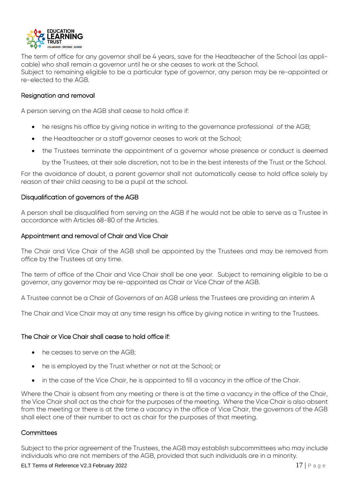

The term of office for any governor shall be 4 years, save for the Headteacher of the School (as applicable) who shall remain a governor until he or she ceases to work at the School. Subject to remaining eligible to be a particular type of governor, any person may be re-appointed or re-elected to the AGB.

## Resignation and removal

A person serving on the AGB shall cease to hold office if:

- he resigns his office by giving notice in writing to the governance professional of the AGB;
- the Headteacher or a staff governor ceases to work at the School;
- the Trustees terminate the appointment of a governor whose presence or conduct is deemed

by the Trustees, at their sole discretion, not to be in the best interests of the Trust or the School.

For the avoidance of doubt, a parent governor shall not automatically cease to hold office solely by reason of their child ceasing to be a pupil at the school.

### Disqualification of governors of the AGB

A person shall be disqualified from serving on the AGB if he would not be able to serve as a Trustee in accordance with Articles 68-80 of the Articles.

#### Appointment and removal of Chair and Vice Chair

The Chair and Vice Chair of the AGB shall be appointed by the Trustees and may be removed from office by the Trustees at any time.

The term of office of the Chair and Vice Chair shall be one year. Subject to remaining eligible to be a governor, any governor may be re-appointed as Chair or Vice Chair of the AGB.

A Trustee cannot be a Chair of Governors of an AGB unless the Trustees are providing an interim A

The Chair and Vice Chair may at any time resign his office by giving notice in writing to the Trustees.

### The Chair or Vice Chair shall cease to hold office if:

- he ceases to serve on the AGB;
- he is employed by the Trust whether or not at the School; or
- in the case of the Vice Chair, he is appointed to fill a vacancy in the office of the Chair.

Where the Chair is absent from any meeting or there is at the time a vacancy in the office of the Chair, the Vice Chair shall act as the chair for the purposes of the meeting. Where the Vice Chair is also absent from the meeting or there is at the time a vacancy in the office of Vice Chair, the governors of the AGB shall elect one of their number to act as chair for the purposes of that meeting.

### **Committees**

Subject to the prior agreement of the Trustees, the AGB may establish subcommittees who may include individuals who are not members of the AGB, provided that such individuals are in a minority.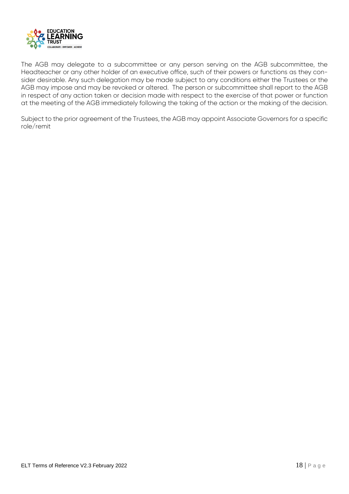

The AGB may delegate to a subcommittee or any person serving on the AGB subcommittee, the Headteacher or any other holder of an executive office, such of their powers or functions as they consider desirable. Any such delegation may be made subject to any conditions either the Trustees or the AGB may impose and may be revoked or altered. The person or subcommittee shall report to the AGB in respect of any action taken or decision made with respect to the exercise of that power or function at the meeting of the AGB immediately following the taking of the action or the making of the decision.

Subject to the prior agreement of the Trustees, the AGB may appoint Associate Governors for a specific role/remit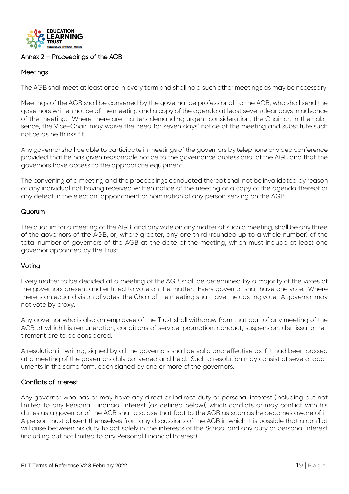

## Annex 2 – Proceedings of the AGB

## **Meetings**

The AGB shall meet at least once in every term and shall hold such other meetings as may be necessary.

Meetings of the AGB shall be convened by the governance professional to the AGB, who shall send the governors written notice of the meeting and a copy of the agenda at least seven clear days in advance of the meeting. Where there are matters demanding urgent consideration, the Chair or, in their absence, the Vice-Chair, may waive the need for seven days' notice of the meeting and substitute such notice as he thinks fit.

Any governor shall be able to participate in meetings of the governors by telephone or video conference provided that he has given reasonable notice to the governance professional of the AGB and that the governors have access to the appropriate equipment.

The convening of a meeting and the proceedings conducted thereat shall not be invalidated by reason of any individual not having received written notice of the meeting or a copy of the agenda thereof or any defect in the election, appointment or nomination of any person serving on the AGB.

## **Quorum**

The quorum for a meeting of the AGB, and any vote on any matter at such a meeting, shall be any three of the governors of the AGB, or, where greater, any one third (rounded up to a whole number) of the total number of governors of the AGB at the date of the meeting, which must include at least one governor appointed by the Trust.

### Voting

Every matter to be decided at a meeting of the AGB shall be determined by a majority of the votes of the governors present and entitled to vote on the matter. Every governor shall have one vote. Where there is an equal division of votes, the Chair of the meeting shall have the casting vote. A governor may not vote by proxy.

Any governor who is also an employee of the Trust shall withdraw from that part of any meeting of the AGB at which his remuneration, conditions of service, promotion, conduct, suspension, dismissal or retirement are to be considered.

A resolution in writing, signed by all the governors shall be valid and effective as if it had been passed at a meeting of the governors duly convened and held. Such a resolution may consist of several documents in the same form, each signed by one or more of the governors.

### Conflicts of Interest

Any governor who has or may have any direct or indirect duty or personal interest (including but not limited to any Personal Financial Interest (as defined below)) which conflicts or may conflict with his duties as a governor of the AGB shall disclose that fact to the AGB as soon as he becomes aware of it. A person must absent themselves from any discussions of the AGB in which it is possible that a conflict will arise between his duty to act solely in the interests of the School and any duty or personal interest (including but not limited to any Personal Financial Interest).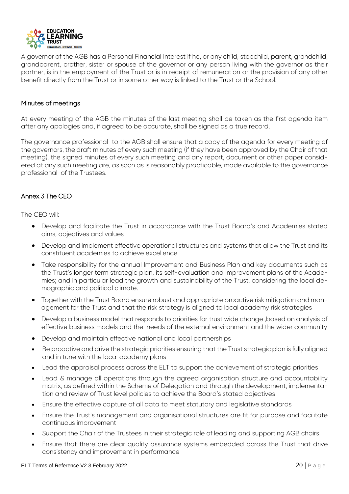

A governor of the AGB has a Personal Financial Interest if he, or any child, stepchild, parent, grandchild, grandparent, brother, sister or spouse of the governor or any person living with the governor as their partner, is in the employment of the Trust or is in receipt of remuneration or the provision of any other benefit directly from the Trust or in some other way is linked to the Trust or the School.

### Minutes of meetings

At every meeting of the AGB the minutes of the last meeting shall be taken as the first agenda item after any apologies and, if agreed to be accurate, shall be signed as a true record.

The governance professional to the AGB shall ensure that a copy of the agenda for every meeting of the governors, the draft minutes of every such meeting (if they have been approved by the Chair of that meeting), the signed minutes of every such meeting and any report, document or other paper considered at any such meeting are, as soon as is reasonably practicable, made available to the governance professional of the Trustees.

# Annex 3 The CEO

The CEO will:

- Develop and facilitate the Trust in accordance with the Trust Board's and Academies stated aims, objectives and values
- Develop and implement effective operational structures and systems that allow the Trust and its constituent academies to achieve excellence
- Take responsibility for the annual Improvement and Business Plan and key documents such as the Trust's longer term strategic plan, its self-evaluation and improvement plans of the Academies; and in particular lead the growth and sustainability of the Trust, considering the local demographic and political climate.
- Together with the Trust Board ensure robust and appropriate proactive risk mitigation and management for the Trust and that the risk strategy is aligned to local academy risk strategies
- Develop a business model that responds to priorities for trust wide change ,based on analysis of effective business models and the needs of the external environment and the wider community
- Develop and maintain effective national and local partnerships
- Be proactive and drive the strategic priorities ensuring that the Trust strategic plan is fully aligned and in tune with the local academy plans
- Lead the appraisal process across the ELT to support the achievement of strategic priorities
- Lead & manage all operations through the agreed organisation structure and accountability matrix, as defined within the Scheme of Delegation and through the development, implementation and review of Trust level policies to achieve the Board's stated objectives
- Ensure the effective capture of all data to meet statutory and legislative standards
- Ensure the Trust's management and organisational structures are fit for purpose and facilitate continuous improvement
- Support the Chair of the Trustees in their strategic role of leading and supporting AGB chairs
- Ensure that there are clear quality assurance systems embedded across the Trust that drive consistency and improvement in performance